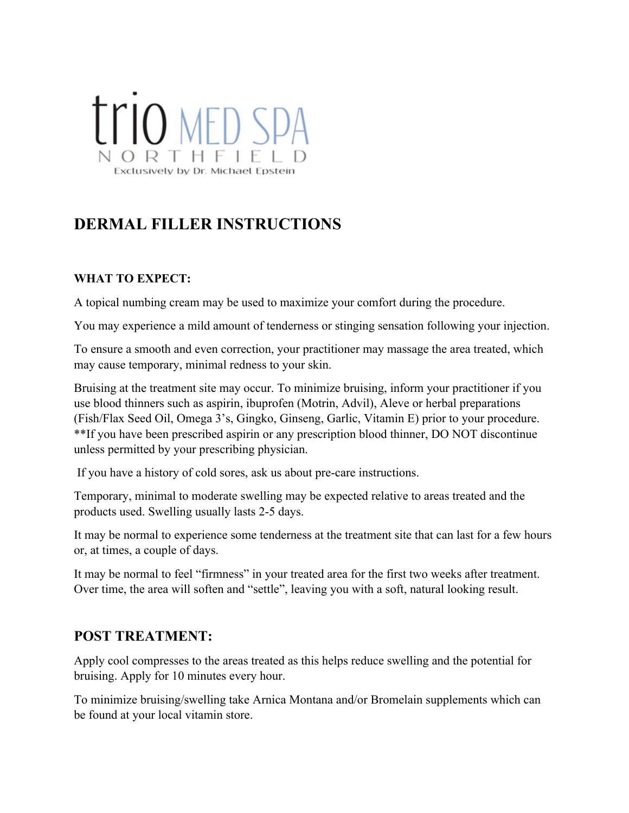# **TTIO MED SPA** ORTHEIF Exclusively by Dr. Michael Epste

## **DERMAL FILLER INSTRUCTIONS**

#### **WHAT TO EXPECT:**

A topical numbing cream may be used to maximize your comfort during the procedure.

You may experience a mild amount of tenderness or stinging sensation following your injection.

To ensure a smooth and even correction, your practitioner may massage the area treated, which may cause temporary, minimal redness to your skin.

Bruising at the treatment site may occur. To minimize bruising, inform your practitioner if you use blood thinners such as aspirin, ibuprofen (Motrin, Advil), Aleve or herbal preparations (Fish/Flax Seed Oil, Omega 3's, Gingko, Ginseng, Garlic, Vitamin E) prior to your procedure. \*\*If you have been prescribed aspirin or any prescription blood thinner, DO NOT discontinue unless permitted by your prescribing physician.

If you have a history of cold sores, ask us about pre-care instructions.

Temporary, minimal to moderate swelling may be expected relative to areas treated and the products used. Swelling usually lasts 2-5 days.

It may be normal to experience some tenderness at the treatment site that can last for a few hours or, at times, a couple of days.

It may be normal to feel "firmness" in your treated area for the first two weeks after treatment. Over time, the area will soften and "settle", leaving you with a soft, natural looking result.

### **POST TREATMENT:**

Apply cool compresses to the areas treated as this helps reduce swelling and the potential for bruising. Apply for 10 minutes every hour.

To minimize bruising/swelling take Arnica Montana and/or Bromelain supplements which can be found at your local vitamin store.